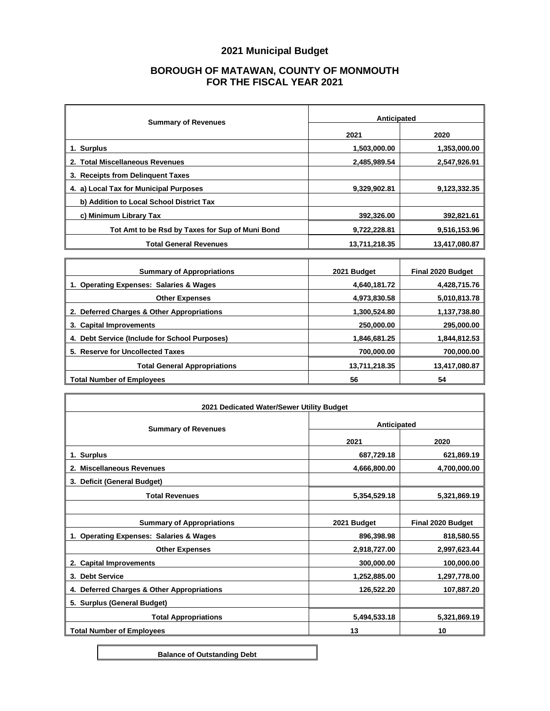## **2021 Municipal Budget**

## **BOROUGH OF MATAWAN, COUNTY OF MONMOUTH FOR THE FISCAL YEAR 2021**

| <b>Summary of Revenues</b>                      | Anticipated   |               |
|-------------------------------------------------|---------------|---------------|
|                                                 | 2021          | 2020          |
| 1. Surplus                                      | 1,503,000.00  | 1,353,000.00  |
| 2. Total Miscellaneous Revenues                 | 2,485,989.54  | 2,547,926.91  |
| 3. Receipts from Delinguent Taxes               |               |               |
| 4. a) Local Tax for Municipal Purposes          | 9,329,902.81  | 9,123,332.35  |
| b) Addition to Local School District Tax        |               |               |
| c) Minimum Library Tax                          | 392,326.00    | 392,821.61    |
| Tot Amt to be Rsd by Taxes for Sup of Muni Bond | 9,722,228.81  | 9,516,153.96  |
| <b>Total General Revenues</b>                   | 13,711,218.35 | 13,417,080.87 |

| <b>Summary of Appropriations</b>              | 2021 Budget   | <b>Final 2020 Budget</b> |
|-----------------------------------------------|---------------|--------------------------|
| 1. Operating Expenses: Salaries & Wages       | 4,640,181.72  | 4,428,715.76             |
| <b>Other Expenses</b>                         | 4,973,830.58  | 5,010,813.78             |
| 2. Deferred Charges & Other Appropriations    | 1,300,524.80  | 1,137,738.80             |
| 3. Capital Improvements                       | 250,000,00    | 295,000.00               |
| 4. Debt Service (Include for School Purposes) | 1.846.681.25  | 1,844,812.53             |
| 5. Reserve for Uncollected Taxes              | 700,000.00    | 700,000.00               |
| <b>Total General Appropriations</b>           | 13,711,218.35 | 13,417,080.87            |
| <b>Total Number of Employees</b>              | 56            | 54                       |

| 2021 Dedicated Water/Sewer Utility Budget  |              |                   |
|--------------------------------------------|--------------|-------------------|
| <b>Summary of Revenues</b>                 | Anticipated  |                   |
|                                            | 2021         | 2020              |
| 1. Surplus                                 | 687,729.18   | 621,869.19        |
| 2. Miscellaneous Revenues                  | 4,666,800.00 | 4,700,000.00      |
| <b>Deficit (General Budget)</b><br>3.      |              |                   |
| <b>Total Revenues</b>                      | 5,354,529.18 | 5,321,869.19      |
|                                            |              |                   |
| <b>Summary of Appropriations</b>           | 2021 Budget  | Final 2020 Budget |
| 1. Operating Expenses: Salaries & Wages    | 896,398.98   | 818,580.55        |
| <b>Other Expenses</b>                      | 2,918,727.00 | 2,997,623.44      |
| 2. Capital Improvements                    | 300,000.00   | 100,000.00        |
| <b>Debt Service</b><br>3.                  | 1,252,885.00 | 1,297,778.00      |
| 4. Deferred Charges & Other Appropriations | 126,522.20   | 107,887.20        |
| 5. Surplus (General Budget)                |              |                   |
| <b>Total Appropriations</b>                | 5,494,533.18 | 5,321,869.19      |
| <b>Total Number of Employees</b>           | 13           | 10                |

**Balance of Outstanding Debt**